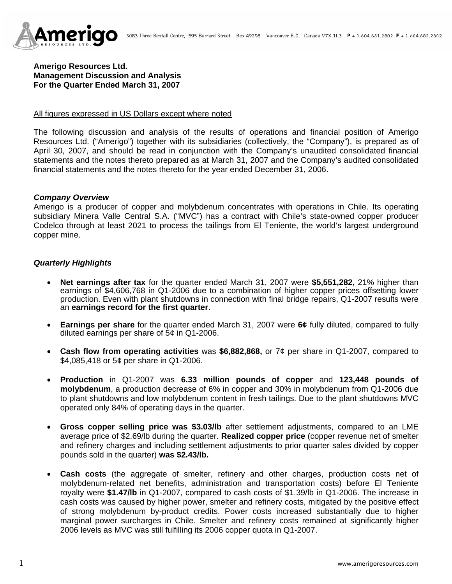

# **Amerigo Resources Ltd. Management Discussion and Analysis For the Quarter Ended March 31, 2007**

#### All figures expressed in US Dollars except where noted

The following discussion and analysis of the results of operations and financial position of Amerigo Resources Ltd. ("Amerigo") together with its subsidiaries (collectively, the "Company"), is prepared as of April 30, 2007, and should be read in conjunction with the Company's unaudited consolidated financial statements and the notes thereto prepared as at March 31, 2007 and the Company's audited consolidated financial statements and the notes thereto for the year ended December 31, 2006.

#### *Company Overview*

Amerigo is a producer of copper and molybdenum concentrates with operations in Chile. Its operating subsidiary Minera Valle Central S.A. ("MVC") has a contract with Chile's state-owned copper producer Codelco through at least 2021 to process the tailings from El Teniente, the world's largest underground copper mine.

### *Quarterly Highlights*

- **Net earnings after tax** for the quarter ended March 31, 2007 were **\$5,551,282,** 21% higher than earnings of \$4,606,768 in Q1-2006 due to a combination of higher copper prices offsetting lower production. Even with plant shutdowns in connection with final bridge repairs, Q1-2007 results were an **earnings record for the first quarter**.
- **Earnings per share** for the quarter ended March 31, 2007 were **6¢** fully diluted, compared to fully diluted earnings per share of 5¢ in Q1-2006.
- **Cash flow from operating activities** was **\$6,882,868,** or 7¢ per share in Q1-2007, compared to \$4,085,418 or 5¢ per share in Q1-2006.
- **Production** in Q1-2007 was **6.33 million pounds of copper** and **123,448 pounds of molybdenum**, a production decrease of 6% in copper and 30% in molybdenum from Q1-2006 due to plant shutdowns and low molybdenum content in fresh tailings. Due to the plant shutdowns MVC operated only 84% of operating days in the quarter.
- **Gross copper selling price was \$3.03/lb** after settlement adjustments, compared to an LME average price of \$2.69/lb during the quarter. **Realized copper price** (copper revenue net of smelter and refinery charges and including settlement adjustments to prior quarter sales divided by copper pounds sold in the quarter) **was \$2.43/lb.**
- **Cash costs** (the aggregate of smelter, refinery and other charges, production costs net of molybdenum-related net benefits, administration and transportation costs) before El Teniente royalty were **\$1.47/lb** in Q1-2007, compared to cash costs of \$1.39/lb in Q1-2006. The increase in cash costs was caused by higher power, smelter and refinery costs, mitigated by the positive effect of strong molybdenum by-product credits. Power costs increased substantially due to higher marginal power surcharges in Chile. Smelter and refinery costs remained at significantly higher 2006 levels as MVC was still fulfilling its 2006 copper quota in Q1-2007.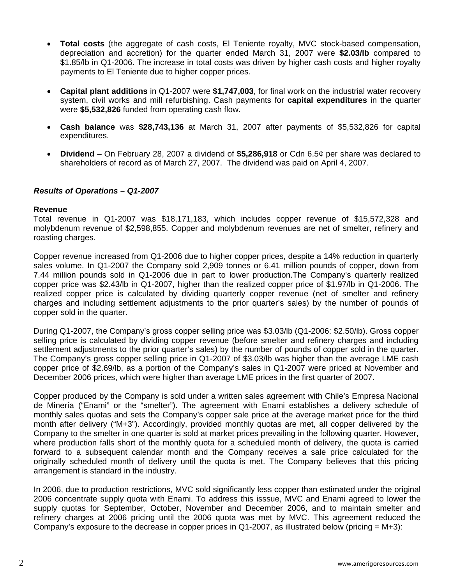- **Total costs** (the aggregate of cash costs, El Teniente royalty, MVC stock-based compensation, depreciation and accretion) for the quarter ended March 31, 2007 were **\$2.03/lb** compared to \$1.85/lb in Q1-2006. The increase in total costs was driven by higher cash costs and higher royalty payments to El Teniente due to higher copper prices.
- **Capital plant additions** in Q1-2007 were **\$1,747,003**, for final work on the industrial water recovery system, civil works and mill refurbishing. Cash payments for **capital expenditures** in the quarter were **\$5,532,826** funded from operating cash flow.
- **Cash balance** was **\$28,743,136** at March 31, 2007 after payments of \$5,532,826 for capital expenditures.
- **Dividend**  On February 28, 2007 a dividend of **\$5,286,918** or Cdn 6.5¢ per share was declared to shareholders of record as of March 27, 2007. The dividend was paid on April 4, 2007.

## *Results of Operations – Q1-2007*

#### **Revenue**

Total revenue in Q1-2007 was \$18,171,183, which includes copper revenue of \$15,572,328 and molybdenum revenue of \$2,598,855. Copper and molybdenum revenues are net of smelter, refinery and roasting charges.

Copper revenue increased from Q1-2006 due to higher copper prices, despite a 14% reduction in quarterly sales volume. In Q1-2007 the Company sold 2,909 tonnes or 6.41 million pounds of copper, down from 7.44 million pounds sold in Q1-2006 due in part to lower production.The Company's quarterly realized copper price was \$2.43/lb in Q1-2007, higher than the realized copper price of \$1.97/lb in Q1-2006. The realized copper price is calculated by dividing quarterly copper revenue (net of smelter and refinery charges and including settlement adjustments to the prior quarter's sales) by the number of pounds of copper sold in the quarter.

During Q1-2007, the Company's gross copper selling price was \$3.03/lb (Q1-2006: \$2.50/lb). Gross copper selling price is calculated by dividing copper revenue (before smelter and refinery charges and including settlement adjustments to the prior quarter's sales) by the number of pounds of copper sold in the quarter. The Company's gross copper selling price in Q1-2007 of \$3.03/lb was higher than the average LME cash copper price of \$2.69/lb, as a portion of the Company's sales in Q1-2007 were priced at November and December 2006 prices, which were higher than average LME prices in the first quarter of 2007.

Copper produced by the Company is sold under a written sales agreement with Chile's Empresa Nacional de Minería ("Enami" or the "smelter"). The agreement with Enami establishes a delivery schedule of monthly sales quotas and sets the Company's copper sale price at the average market price for the third month after delivery ("M+3"). Accordingly, provided monthly quotas are met, all copper delivered by the Company to the smelter in one quarter is sold at market prices prevailing in the following quarter. However, where production falls short of the monthly quota for a scheduled month of delivery, the quota is carried forward to a subsequent calendar month and the Company receives a sale price calculated for the originally scheduled month of delivery until the quota is met. The Company believes that this pricing arrangement is standard in the industry.

In 2006, due to production restrictions, MVC sold significantly less copper than estimated under the original 2006 concentrate supply quota with Enami. To address this isssue, MVC and Enami agreed to lower the supply quotas for September, October, November and December 2006, and to maintain smelter and refinery charges at 2006 pricing until the 2006 quota was met by MVC. This agreement reduced the Company's exposure to the decrease in copper prices in Q1-2007, as illustrated below (pricing  $= M+3$ ):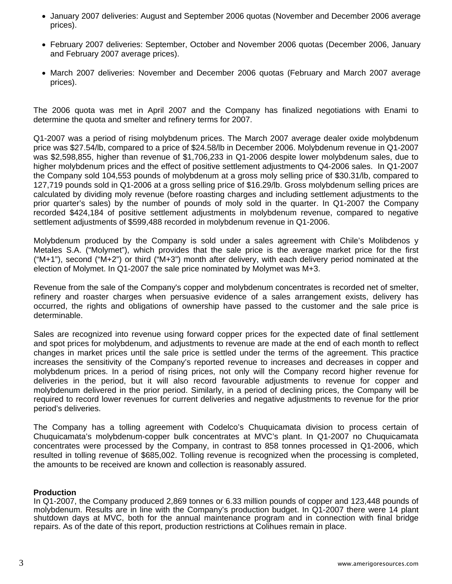- January 2007 deliveries: August and September 2006 quotas (November and December 2006 average prices).
- February 2007 deliveries: September, October and November 2006 quotas (December 2006, January and February 2007 average prices).
- March 2007 deliveries: November and December 2006 quotas (February and March 2007 average prices).

The 2006 quota was met in April 2007 and the Company has finalized negotiations with Enami to determine the quota and smelter and refinery terms for 2007.

Q1-2007 was a period of rising molybdenum prices. The March 2007 average dealer oxide molybdenum price was \$27.54/lb, compared to a price of \$24.58/lb in December 2006. Molybdenum revenue in Q1-2007 was \$2,598,855, higher than revenue of \$1,706,233 in Q1-2006 despite lower molybdenum sales, due to higher molybdenum prices and the effect of positive settlement adjustments to Q4-2006 sales. In Q1-2007 the Company sold 104,553 pounds of molybdenum at a gross moly selling price of \$30.31/lb, compared to 127,719 pounds sold in Q1-2006 at a gross selling price of \$16.29/lb. Gross molybdenum selling prices are calculated by dividing moly revenue (before roasting charges and including settlement adjustments to the prior quarter's sales) by the number of pounds of moly sold in the quarter. In Q1-2007 the Company recorded \$424,184 of positive settlement adjustments in molybdenum revenue, compared to negative settlement adjustments of \$599,488 recorded in molybdenum revenue in Q1-2006.

Molybdenum produced by the Company is sold under a sales agreement with Chile's Molibdenos y Metales S.A. ("Molymet"), which provides that the sale price is the average market price for the first ("M+1"), second ("M+2") or third ("M+3") month after delivery, with each delivery period nominated at the election of Molymet. In Q1-2007 the sale price nominated by Molymet was M+3.

Revenue from the sale of the Company's copper and molybdenum concentrates is recorded net of smelter, refinery and roaster charges when persuasive evidence of a sales arrangement exists, delivery has occurred, the rights and obligations of ownership have passed to the customer and the sale price is determinable.

Sales are recognized into revenue using forward copper prices for the expected date of final settlement and spot prices for molybdenum, and adjustments to revenue are made at the end of each month to reflect changes in market prices until the sale price is settled under the terms of the agreement. This practice increases the sensitivity of the Company's reported revenue to increases and decreases in copper and molybdenum prices. In a period of rising prices, not only will the Company record higher revenue for deliveries in the period, but it will also record favourable adjustments to revenue for copper and molybdenum delivered in the prior period. Similarly, in a period of declining prices, the Company will be required to record lower revenues for current deliveries and negative adjustments to revenue for the prior period's deliveries.

The Company has a tolling agreement with Codelco's Chuquicamata division to process certain of Chuquicamata's molybdenum-copper bulk concentrates at MVC's plant. In Q1-2007 no Chuquicamata concentrates were processed by the Company, in contrast to 858 tonnes processed in Q1-2006, which resulted in tolling revenue of \$685,002. Tolling revenue is recognized when the processing is completed, the amounts to be received are known and collection is reasonably assured.

### **Production**

In Q1-2007, the Company produced 2,869 tonnes or 6.33 million pounds of copper and 123,448 pounds of molybdenum. Results are in line with the Company's production budget. In Q1-2007 there were 14 plant shutdown days at MVC, both for the annual maintenance program and in connection with final bridge repairs. As of the date of this report, production restrictions at Colihues remain in place.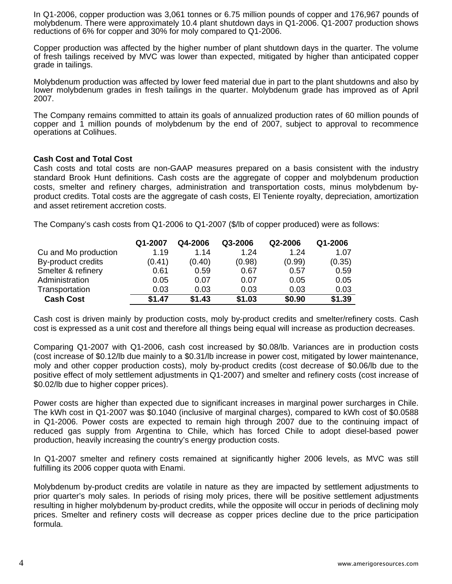In Q1-2006, copper production was 3,061 tonnes or 6.75 million pounds of copper and 176,967 pounds of molybdenum. There were approximately 10.4 plant shutdown days in Q1-2006. Q1-2007 production shows reductions of 6% for copper and 30% for moly compared to Q1-2006.

Copper production was affected by the higher number of plant shutdown days in the quarter. The volume of fresh tailings received by MVC was lower than expected, mitigated by higher than anticipated copper grade in tailings.

Molybdenum production was affected by lower feed material due in part to the plant shutdowns and also by lower molybdenum grades in fresh tailings in the quarter. Molybdenum grade has improved as of April 2007.

The Company remains committed to attain its goals of annualized production rates of 60 million pounds of copper and 1 million pounds of molybdenum by the end of 2007, subject to approval to recommence operations at Colihues.

## **Cash Cost and Total Cost**

Cash costs and total costs are non-GAAP measures prepared on a basis consistent with the industry standard Brook Hunt definitions. Cash costs are the aggregate of copper and molybdenum production costs, smelter and refinery charges, administration and transportation costs, minus molybdenum byproduct credits. Total costs are the aggregate of cash costs, El Teniente royalty, depreciation, amortization and asset retirement accretion costs.

The Company's cash costs from Q1-2006 to Q1-2007 (\$/lb of copper produced) were as follows:

|                      | Q1-2007 | Q4-2006 | Q3-2006 | Q2-2006 | Q1-2006 |
|----------------------|---------|---------|---------|---------|---------|
| Cu and Mo production | 1.19    | 1.14    | 1.24    | 1.24    | 1.07    |
| By-product credits   | (0.41)  | (0.40)  | (0.98)  | (0.99)  | (0.35)  |
| Smelter & refinery   | 0.61    | 0.59    | 0.67    | 0.57    | 0.59    |
| Administration       | 0.05    | 0.07    | 0.07    | 0.05    | 0.05    |
| Transportation       | 0.03    | 0.03    | 0.03    | 0.03    | 0.03    |
| <b>Cash Cost</b>     | \$1.47  | \$1.43  | \$1.03  | \$0.90  | \$1.39  |

Cash cost is driven mainly by production costs, moly by-product credits and smelter/refinery costs. Cash cost is expressed as a unit cost and therefore all things being equal will increase as production decreases.

Comparing Q1-2007 with Q1-2006, cash cost increased by \$0.08/lb. Variances are in production costs (cost increase of \$0.12/lb due mainly to a \$0.31/lb increase in power cost, mitigated by lower maintenance, moly and other copper production costs), moly by-product credits (cost decrease of \$0.06/lb due to the positive effect of moly settlement adjustments in Q1-2007) and smelter and refinery costs (cost increase of \$0.02/lb due to higher copper prices).

Power costs are higher than expected due to significant increases in marginal power surcharges in Chile. The kWh cost in Q1-2007 was \$0.1040 (inclusive of marginal charges), compared to kWh cost of \$0.0588 in Q1-2006. Power costs are expected to remain high through 2007 due to the continuing impact of reduced gas supply from Argentina to Chile, which has forced Chile to adopt diesel-based power production, heavily increasing the country's energy production costs.

In Q1-2007 smelter and refinery costs remained at significantly higher 2006 levels, as MVC was still fulfilling its 2006 copper quota with Enami.

Molybdenum by-product credits are volatile in nature as they are impacted by settlement adjustments to prior quarter's moly sales. In periods of rising moly prices, there will be positive settlement adjustments resulting in higher molybdenum by-product credits, while the opposite will occur in periods of declining moly prices. Smelter and refinery costs will decrease as copper prices decline due to the price participation formula.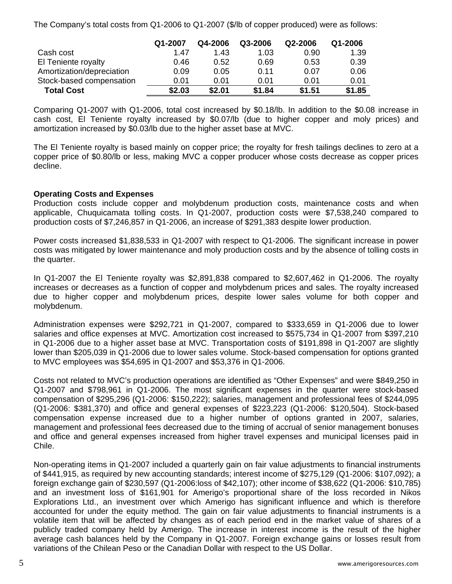The Company's total costs from Q1-2006 to Q1-2007 (\$/lb of copper produced) were as follows:

|                           | Q1-2007 | Q4-2006 | Q3-2006 | Q2-2006 | Q1-2006 |
|---------------------------|---------|---------|---------|---------|---------|
| Cash cost                 | 1.47    | 1.43    | 1.03    | 0.90    | 1.39    |
| El Teniente royalty       | 0.46    | 0.52    | 0.69    | 0.53    | 0.39    |
| Amortization/depreciation | 0.09    | 0.05    | 0.11    | 0.07    | 0.06    |
| Stock-based compensation  | 0.01    | 0.01    | 0.01    | 0.01    | 0.01    |
| <b>Total Cost</b>         | \$2.03  | \$2.01  | \$1.84  | \$1.51  | \$1.85  |

Comparing Q1-2007 with Q1-2006, total cost increased by \$0.18/lb. In addition to the \$0.08 increase in cash cost, El Teniente royalty increased by \$0.07/lb (due to higher copper and moly prices) and amortization increased by \$0.03/lb due to the higher asset base at MVC.

The El Teniente royalty is based mainly on copper price; the royalty for fresh tailings declines to zero at a copper price of \$0.80/lb or less, making MVC a copper producer whose costs decrease as copper prices decline.

# **Operating Costs and Expenses**

Production costs include copper and molybdenum production costs, maintenance costs and when applicable, Chuquicamata tolling costs. In Q1-2007, production costs were \$7,538,240 compared to production costs of \$7,246,857 in Q1-2006, an increase of \$291,383 despite lower production.

Power costs increased \$1,838,533 in Q1-2007 with respect to Q1-2006. The significant increase in power costs was mitigated by lower maintenance and moly production costs and by the absence of tolling costs in the quarter.

In Q1-2007 the El Teniente royalty was \$2,891,838 compared to \$2,607,462 in Q1-2006. The royalty increases or decreases as a function of copper and molybdenum prices and sales. The royalty increased due to higher copper and molybdenum prices, despite lower sales volume for both copper and molybdenum.

Administration expenses were \$292,721 in Q1-2007, compared to \$333,659 in Q1-2006 due to lower salaries and office expenses at MVC. Amortization cost increased to \$575,734 in Q1-2007 from \$397,210 in Q1-2006 due to a higher asset base at MVC. Transportation costs of \$191,898 in Q1-2007 are slightly lower than \$205,039 in Q1-2006 due to lower sales volume. Stock-based compensation for options granted to MVC employees was \$54,695 in Q1-2007 and \$53,376 in Q1-2006.

Costs not related to MVC's production operations are identified as "Other Expenses" and were \$849,250 in Q1-2007 and \$798,961 in Q1-2006. The most significant expenses in the quarter were stock-based compensation of \$295,296 (Q1-2006: \$150,222); salaries, management and professional fees of \$244,095 (Q1-2006: \$381,370) and office and general expenses of \$223,223 (Q1-2006: \$120,504). Stock-based compensation expense increased due to a higher number of options granted in 2007, salaries, management and professional fees decreased due to the timing of accrual of senior management bonuses and office and general expenses increased from higher travel expenses and municipal licenses paid in Chile.

Non-operating items in Q1-2007 included a quarterly gain on fair value adjustments to financial instruments of \$441,915, as required by new accounting standards; interest income of \$275,129 (Q1-2006: \$107,092); a foreign exchange gain of \$230,597 (Q1-2006:loss of \$42,107); other income of \$38,622 (Q1-2006: \$10,785) and an investment loss of \$161,901 for Amerigo's proportional share of the loss recorded in Nikos Explorations Ltd., an investment over which Amerigo has significant influence and which is therefore accounted for under the equity method. The gain on fair value adjustments to financial instruments is a volatile item that will be affected by changes as of each period end in the market value of shares of a publicly traded company held by Amerigo. The increase in interest income is the result of the higher average cash balances held by the Company in Q1-2007. Foreign exchange gains or losses result from variations of the Chilean Peso or the Canadian Dollar with respect to the US Dollar.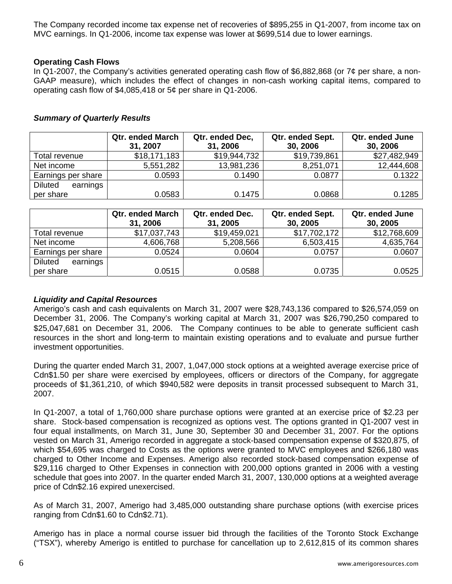The Company recorded income tax expense net of recoveries of \$895,255 in Q1-2007, from income tax on MVC earnings. In Q1-2006, income tax expense was lower at \$699,514 due to lower earnings.

## **Operating Cash Flows**

In Q1-2007, the Company's activities generated operating cash flow of \$6,882,868 (or  $7¢$  per share, a non-GAAP measure), which includes the effect of changes in non-cash working capital items, compared to operating cash flow of \$4,085,418 or 5¢ per share in Q1-2006.

## *Summary of Quarterly Results*

|                            | <b>Qtr. ended March</b><br>31, 2007 | Qtr. ended Dec,<br>31, 2006 | Qtr. ended Sept.<br>30, 2006 | Qtr. ended June<br>30, 2006 |
|----------------------------|-------------------------------------|-----------------------------|------------------------------|-----------------------------|
| Total revenue              | \$18,171,183                        | \$19,944,732                | \$19,739,861                 | \$27,482,949                |
| Net income                 | 5,551,282                           | 13,981,236                  | 8,251,071                    | 12,444,608                  |
| Earnings per share         | 0.0593                              | 0.1490                      | 0.0877                       | 0.1322                      |
| <b>Diluted</b><br>earnings |                                     |                             |                              |                             |
| per share                  | 0.0583                              | 0.1475                      | 0.0868                       | 0.1285                      |

|                            | <b>Qtr. ended March</b><br>31, 2006 | Qtr. ended Dec.<br>31, 2005 | Qtr. ended Sept.<br>30, 2005 | Qtr. ended June<br>30, 2005 |
|----------------------------|-------------------------------------|-----------------------------|------------------------------|-----------------------------|
| Total revenue              | \$17,037,743                        | \$19,459,021                | \$17,702,172                 | \$12,768,609                |
| Net income                 | 4,606,768                           | 5,208,566                   | 6,503,415                    | 4,635,764                   |
| Earnings per share         | 0.0524                              | 0.0604                      | 0.0757                       | 0.0607                      |
| earnings<br><b>Diluted</b> |                                     |                             |                              |                             |
| per share                  | 0.0515                              | 0.0588                      | 0.0735                       | 0.0525                      |

# *Liquidity and Capital Resources*

Amerigo's cash and cash equivalents on March 31, 2007 were \$28,743,136 compared to \$26,574,059 on December 31, 2006. The Company's working capital at March 31, 2007 was \$26,790,250 compared to \$25,047,681 on December 31, 2006. The Company continues to be able to generate sufficient cash resources in the short and long-term to maintain existing operations and to evaluate and pursue further investment opportunities.

During the quarter ended March 31, 2007, 1,047,000 stock options at a weighted average exercise price of Cdn\$1.50 per share were exercised by employees, officers or directors of the Company, for aggregate proceeds of \$1,361,210, of which \$940,582 were deposits in transit processed subsequent to March 31, 2007.

In Q1-2007, a total of 1,760,000 share purchase options were granted at an exercise price of \$2.23 per share. Stock-based compensation is recognized as options vest. The options granted in Q1-2007 vest in four equal installments, on March 31, June 30, September 30 and December 31, 2007. For the options vested on March 31, Amerigo recorded in aggregate a stock-based compensation expense of \$320,875, of which \$54,695 was charged to Costs as the options were granted to MVC employees and \$266,180 was charged to Other Income and Expenses. Amerigo also recorded stock-based compensation expense of \$29,116 charged to Other Expenses in connection with 200,000 options granted in 2006 with a vesting schedule that goes into 2007. In the quarter ended March 31, 2007, 130,000 options at a weighted average price of Cdn\$2.16 expired unexercised.

As of March 31, 2007, Amerigo had 3,485,000 outstanding share purchase options (with exercise prices ranging from Cdn\$1.60 to Cdn\$2.71).

Amerigo has in place a normal course issuer bid through the facilities of the Toronto Stock Exchange ("TSX"), whereby Amerigo is entitled to purchase for cancellation up to 2,612,815 of its common shares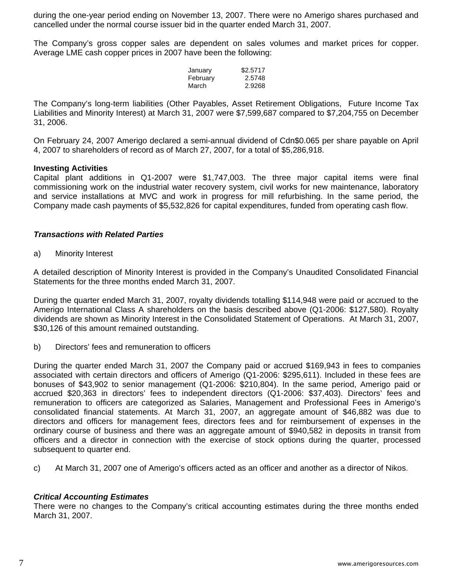during the one-year period ending on November 13, 2007. There were no Amerigo shares purchased and cancelled under the normal course issuer bid in the quarter ended March 31, 2007.

The Company's gross copper sales are dependent on sales volumes and market prices for copper. Average LME cash copper prices in 2007 have been the following:

| January  | \$2.5717 |
|----------|----------|
| February | 2.5748   |
| March    | 2.9268   |

The Company's long-term liabilities (Other Payables, Asset Retirement Obligations, Future Income Tax Liabilities and Minority Interest) at March 31, 2007 were \$7,599,687 compared to \$7,204,755 on December 31, 2006.

On February 24, 2007 Amerigo declared a semi-annual dividend of Cdn\$0.065 per share payable on April 4, 2007 to shareholders of record as of March 27, 2007, for a total of \$5,286,918.

### **Investing Activities**

Capital plant additions in Q1-2007 were \$1,747,003. The three major capital items were final commissioning work on the industrial water recovery system, civil works for new maintenance, laboratory and service installations at MVC and work in progress for mill refurbishing. In the same period, the Company made cash payments of \$5,532,826 for capital expenditures, funded from operating cash flow.

# *Transactions with Related Parties*

a) Minority Interest

A detailed description of Minority Interest is provided in the Company's Unaudited Consolidated Financial Statements for the three months ended March 31, 2007.

During the quarter ended March 31, 2007, royalty dividends totalling \$114,948 were paid or accrued to the Amerigo International Class A shareholders on the basis described above (Q1-2006: \$127,580). Royalty dividends are shown as Minority Interest in the Consolidated Statement of Operations. At March 31, 2007, \$30,126 of this amount remained outstanding.

b) Directors' fees and remuneration to officers

During the quarter ended March 31, 2007 the Company paid or accrued \$169,943 in fees to companies associated with certain directors and officers of Amerigo (Q1-2006: \$295,611). Included in these fees are bonuses of \$43,902 to senior management (Q1-2006: \$210,804). In the same period, Amerigo paid or accrued \$20,363 in directors' fees to independent directors (Q1-2006: \$37,403). Directors' fees and remuneration to officers are categorized as Salaries, Management and Professional Fees in Amerigo's consolidated financial statements. At March 31, 2007, an aggregate amount of \$46,882 was due to directors and officers for management fees, directors fees and for reimbursement of expenses in the ordinary course of business and there was an aggregate amount of \$940,582 in deposits in transit from officers and a director in connection with the exercise of stock options during the quarter, processed subsequent to quarter end.

c) At March 31, 2007 one of Amerigo's officers acted as an officer and another as a director of Nikos.

# *Critical Accounting Estimates*

There were no changes to the Company's critical accounting estimates during the three months ended March 31, 2007.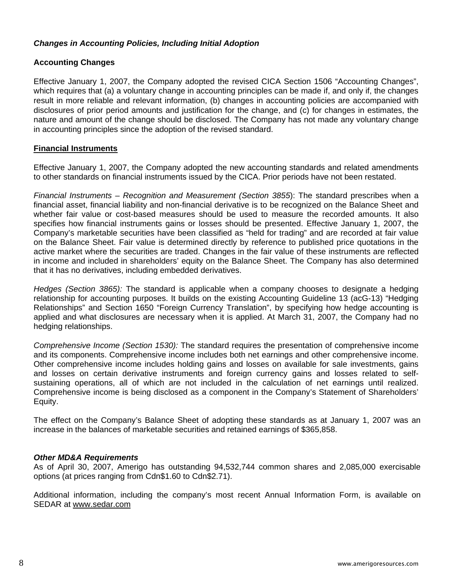# *Changes in Accounting Policies, Including Initial Adoption*

# **Accounting Changes**

Effective January 1, 2007, the Company adopted the revised CICA Section 1506 "Accounting Changes", which requires that (a) a voluntary change in accounting principles can be made if, and only if, the changes result in more reliable and relevant information, (b) changes in accounting policies are accompanied with disclosures of prior period amounts and justification for the change, and (c) for changes in estimates, the nature and amount of the change should be disclosed. The Company has not made any voluntary change in accounting principles since the adoption of the revised standard.

### **Financial Instruments**

Effective January 1, 2007, the Company adopted the new accounting standards and related amendments to other standards on financial instruments issued by the CICA. Prior periods have not been restated.

*Financial Instruments – Recognition and Measurement (Section 3855*): The standard prescribes when a financial asset, financial liability and non-financial derivative is to be recognized on the Balance Sheet and whether fair value or cost-based measures should be used to measure the recorded amounts. It also specifies how financial instruments gains or losses should be presented. Effective January 1, 2007, the Company's marketable securities have been classified as "held for trading" and are recorded at fair value on the Balance Sheet. Fair value is determined directly by reference to published price quotations in the active market where the securities are traded. Changes in the fair value of these instruments are reflected in income and included in shareholders' equity on the Balance Sheet. The Company has also determined that it has no derivatives, including embedded derivatives.

*Hedges (Section 3865):* The standard is applicable when a company chooses to designate a hedging relationship for accounting purposes. It builds on the existing Accounting Guideline 13 (acG-13) "Hedging Relationships" and Section 1650 "Foreign Currency Translation", by specifying how hedge accounting is applied and what disclosures are necessary when it is applied. At March 31, 2007, the Company had no hedging relationships.

*Comprehensive Income (Section 1530):* The standard requires the presentation of comprehensive income and its components. Comprehensive income includes both net earnings and other comprehensive income. Other comprehensive income includes holding gains and losses on available for sale investments, gains and losses on certain derivative instruments and foreign currency gains and losses related to selfsustaining operations, all of which are not included in the calculation of net earnings until realized. Comprehensive income is being disclosed as a component in the Company's Statement of Shareholders' Equity.

The effect on the Company's Balance Sheet of adopting these standards as at January 1, 2007 was an increase in the balances of marketable securities and retained earnings of \$365,858.

### *Other MD&A Requirements*

As of April 30, 2007, Amerigo has outstanding 94,532,744 common shares and 2,085,000 exercisable options (at prices ranging from Cdn\$1.60 to Cdn\$2.71).

Additional information, including the company's most recent Annual Information Form, is available on SEDAR at [www.sedar.com](http://www.sedar.com/)